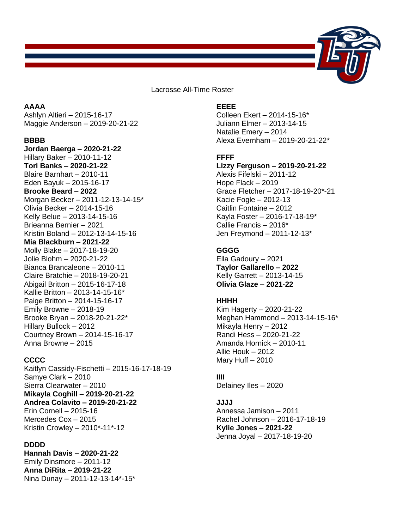

Lacrosse All-Time Roster

# **AAAA**

Ashlyn Altieri – 2015-16-17 Maggie Anderson – 2019-20-21-22

#### **BBBB**

**Jordan Baerga – 2020-21-22** Hillary Baker – 2010-11-12 **Tori Banks – 2020-21-22** Blaire Barnhart – 2010-11 Eden Bayuk – 2015-16-17 **Brooke Beard – 2022**  Morgan Becker – 2011-12-13-14-15\* Olivia Becker – 2014-15-16 Kelly Belue – 2013-14-15-16 Brieanna Bernier – 2021 Kristin Boland – 2012-13-14-15-16 **Mia Blackburn – 2021-22** Molly Blake – 2017-18-19-20 Jolie Blohm – 2020-21-22 Bianca Brancaleone – 2010-11 Claire Bratchie – 2018-19-20-21 Abigail Britton – 2015-16-17-18 Kallie Britton – 2013-14-15-16\* Paige Britton – 2014-15-16-17 Emily Browne – 2018-19 Brooke Bryan – 2018-20-21-22\* Hillary Bullock – 2012 Courtney Brown – 2014-15-16-17 Anna Browne – 2015

# **CCCC**

Kaitlyn Cassidy-Fischetti – 2015-16-17-18-19 Samye Clark – 2010 Sierra Clearwater – 2010 **Mikayla Coghill – 2019-20-21-22 Andrea Colavito – 2019-20-21-22** Erin Cornell – 2015-16 Mercedes Cox – 2015 Kristin Crowley – 2010\*-11\*-12

## **DDDD**

**Hannah Davis – 2020-21-22** Emily Dinsmore – 2011-12 **Anna DiRita – 2019-21-22** Nina Dunay – 2011-12-13-14\*-15\*

# **EEEE**

Colleen Ekert – 2014-15-16\* Juliann Elmer – 2013-14-15 Natalie Emery – 2014 Alexa Evernham – 2019-20-21-22\*

## **FFFF**

### **Lizzy Ferguson – 2019-20-21-22**

Alexis Fifelski – 2011-12 Hope Flack – 2019 Grace Fletcher – 2017-18-19-20\*-21 Kacie Fogle – 2012-13 Caitlin Fontaine – 2012 Kayla Foster – 2016-17-18-19\* Callie Francis – 2016\* Jen Freymond – 2011-12-13\*

## **GGGG**

Ella Gadoury – 2021 **Taylor Gallarello – 2022**  Kelly Garrett – 2013-14-15 **Olivia Glaze – 2021-22**

#### **HHHH**

Kim Hagerty – 2020-21-22 Meghan Hammond – 2013-14-15-16\* Mikayla Henry – 2012 Randi Hess – 2020-21-22 Amanda Hornick – 2010-11 Allie Houk – 2012 Mary Huff – 2010

#### **IIII**

Delainey Iles – 2020

#### **JJJJ**

Annessa Jamison – 2011 Rachel Johnson – 2016-17-18-19 **Kylie Jones – 2021-22** Jenna Joyal – 2017-18-19-20